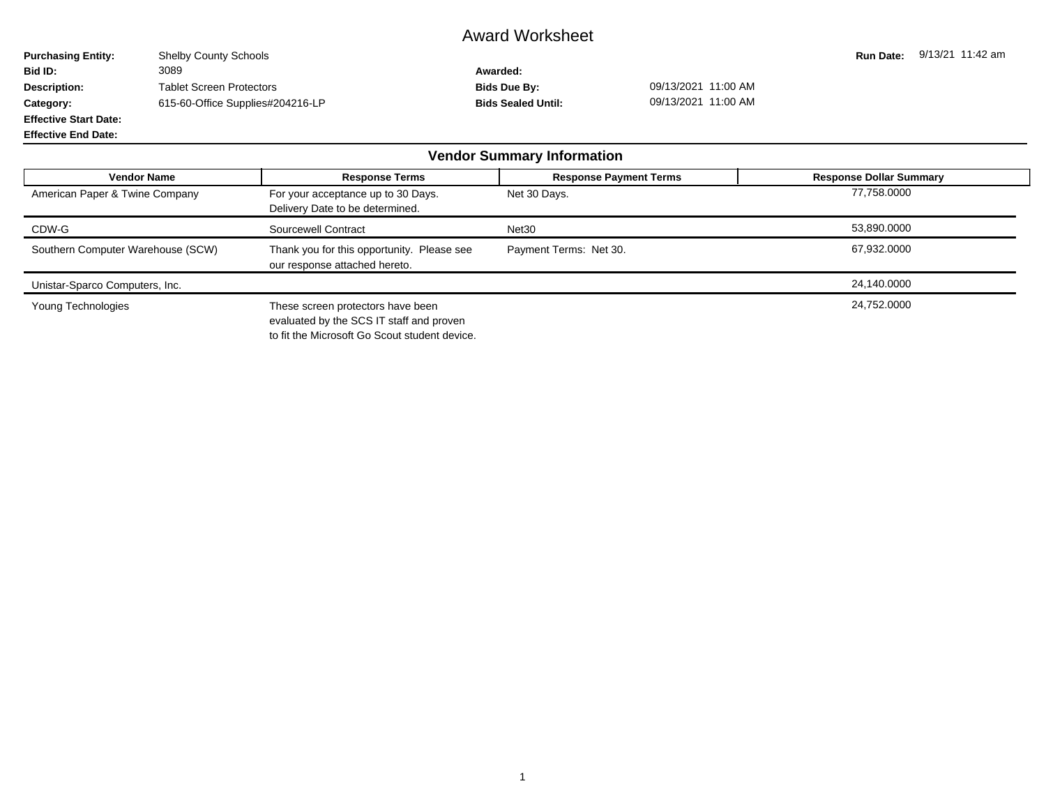## Award Worksheet

**Purchasing Entity:** Shelby County Schools **Run Date: 9/13/21 11:42 am**<br> **Run Date:** 9/13/21 11:42 am<br> **Rid ID:** 3089 **Bid ID:** 3089 **Awarded: Description:** Tablet Screen Protectors **Bids Due By:** 09/13/2021 11:00 AM **Category:** 615-60-Office Supplies#204216-LP **Bids Sealed Until:** 09/13/2021 11:00 AM **Effective Start Date:**

**Effective End Date:**

| <b>Vendor Summary Information</b> |                                                                               |                               |                                |  |  |  |  |  |  |
|-----------------------------------|-------------------------------------------------------------------------------|-------------------------------|--------------------------------|--|--|--|--|--|--|
| <b>Vendor Name</b>                | <b>Response Terms</b>                                                         | <b>Response Payment Terms</b> | <b>Response Dollar Summary</b> |  |  |  |  |  |  |
| American Paper & Twine Company    | For your acceptance up to 30 Days.<br>Delivery Date to be determined.         | Net 30 Days.                  | 77,758.0000                    |  |  |  |  |  |  |
| CDW-G                             | Sourcewell Contract                                                           | Net <sub>30</sub>             | 53,890.0000                    |  |  |  |  |  |  |
| Southern Computer Warehouse (SCW) | Thank you for this opportunity. Please see<br>our response attached hereto.   | Payment Terms: Net 30.        | 67,932.0000                    |  |  |  |  |  |  |
| Unistar-Sparco Computers, Inc.    |                                                                               |                               | 24,140.0000                    |  |  |  |  |  |  |
| Young Technologies                | These screen protectors have been<br>evaluated by the SCS IT staff and proven |                               | 24,752.0000                    |  |  |  |  |  |  |

to fit the Microsoft Go Scout student device.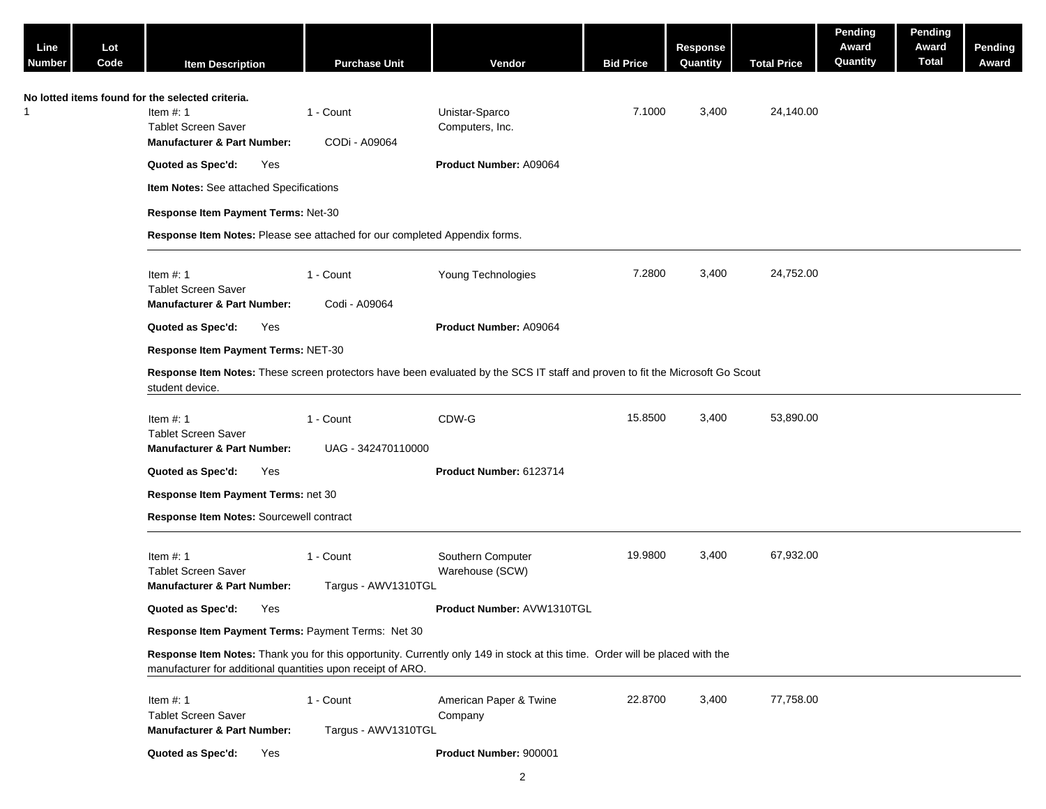| Line<br><b>Number</b> | Lot<br>Code | <b>Item Description</b>                                                                                                                                                                     | <b>Purchase Unit</b>             | Vendor                               | <b>Bid Price</b> | <b>Response</b><br>Quantity | <b>Total Price</b> | Pending<br>Award<br>Quantity | Pending<br>Award<br><b>Total</b> | Pending<br>Award |
|-----------------------|-------------|---------------------------------------------------------------------------------------------------------------------------------------------------------------------------------------------|----------------------------------|--------------------------------------|------------------|-----------------------------|--------------------|------------------------------|----------------------------------|------------------|
|                       |             | No lotted items found for the selected criteria.<br>Item $#: 1$<br><b>Tablet Screen Saver</b><br><b>Manufacturer &amp; Part Number:</b>                                                     | 1 - Count<br>CODi - A09064       | Unistar-Sparco<br>Computers, Inc.    | 7.1000           | 3,400                       | 24,140.00          |                              |                                  |                  |
|                       |             | Quoted as Spec'd:<br>Yes                                                                                                                                                                    |                                  | Product Number: A09064               |                  |                             |                    |                              |                                  |                  |
|                       |             | Item Notes: See attached Specifications                                                                                                                                                     |                                  |                                      |                  |                             |                    |                              |                                  |                  |
|                       |             | Response Item Payment Terms: Net-30                                                                                                                                                         |                                  |                                      |                  |                             |                    |                              |                                  |                  |
|                       |             | Response Item Notes: Please see attached for our completed Appendix forms.                                                                                                                  |                                  |                                      |                  |                             |                    |                              |                                  |                  |
|                       |             | Item $#: 1$<br><b>Tablet Screen Saver</b><br><b>Manufacturer &amp; Part Number:</b>                                                                                                         | 1 - Count<br>Codi - A09064       | Young Technologies                   | 7.2800           | 3,400                       | 24,752.00          |                              |                                  |                  |
|                       |             | Quoted as Spec'd:<br>Yes                                                                                                                                                                    |                                  | Product Number: A09064               |                  |                             |                    |                              |                                  |                  |
|                       |             | Response Item Payment Terms: NET-30                                                                                                                                                         |                                  |                                      |                  |                             |                    |                              |                                  |                  |
|                       |             | Response Item Notes: These screen protectors have been evaluated by the SCS IT staff and proven to fit the Microsoft Go Scout<br>student device.                                            |                                  |                                      |                  |                             |                    |                              |                                  |                  |
|                       |             | Item $#: 1$<br><b>Tablet Screen Saver</b><br><b>Manufacturer &amp; Part Number:</b>                                                                                                         | 1 - Count<br>UAG - 342470110000  | CDW-G                                | 15.8500          | 3,400                       | 53,890.00          |                              |                                  |                  |
|                       |             | Quoted as Spec'd:<br>Yes                                                                                                                                                                    |                                  | Product Number: 6123714              |                  |                             |                    |                              |                                  |                  |
|                       |             | Response Item Payment Terms: net 30                                                                                                                                                         |                                  |                                      |                  |                             |                    |                              |                                  |                  |
|                       |             | Response Item Notes: Sourcewell contract                                                                                                                                                    |                                  |                                      |                  |                             |                    |                              |                                  |                  |
|                       |             | Item $#: 1$<br><b>Tablet Screen Saver</b><br><b>Manufacturer &amp; Part Number:</b>                                                                                                         | 1 - Count<br>Targus - AWV1310TGL | Southern Computer<br>Warehouse (SCW) | 19.9800          | 3,400                       | 67,932.00          |                              |                                  |                  |
|                       |             | Quoted as Spec'd: Yes                                                                                                                                                                       |                                  | Product Number: AVW1310TGL           |                  |                             |                    |                              |                                  |                  |
|                       |             | Response Item Payment Terms: Payment Terms: Net 30                                                                                                                                          |                                  |                                      |                  |                             |                    |                              |                                  |                  |
|                       |             | Response Item Notes: Thank you for this opportunity. Currently only 149 in stock at this time. Order will be placed with the<br>manufacturer for additional quantities upon receipt of ARO. |                                  |                                      |                  |                             |                    |                              |                                  |                  |
|                       |             | Item $#: 1$<br><b>Tablet Screen Saver</b><br><b>Manufacturer &amp; Part Number:</b>                                                                                                         | 1 - Count<br>Targus - AWV1310TGL | American Paper & Twine<br>Company    | 22.8700          | 3,400                       | 77,758.00          |                              |                                  |                  |
|                       |             | Quoted as Spec'd:<br>Yes                                                                                                                                                                    |                                  | Product Number: 900001               |                  |                             |                    |                              |                                  |                  |
|                       |             |                                                                                                                                                                                             |                                  | $\overline{2}$                       |                  |                             |                    |                              |                                  |                  |